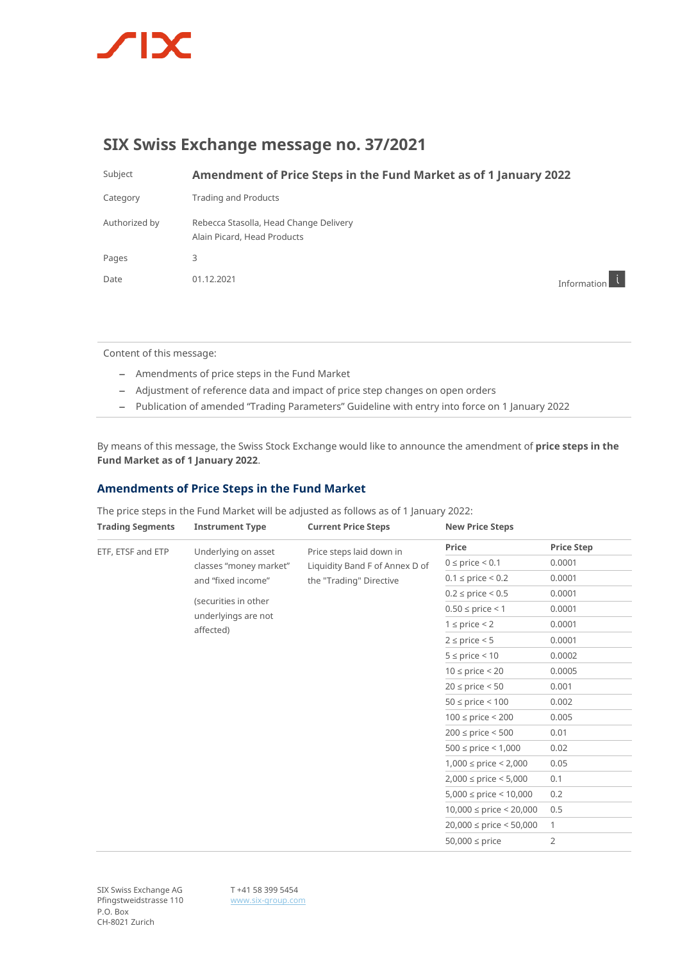

# **SIX Swiss Exchange message no. 37/2021**

Subject **Amendment of Price Steps in the Fund Market as of 1 January 2022**

| Category      | <b>Trading and Products</b>                                           |
|---------------|-----------------------------------------------------------------------|
| Authorized by | Rebecca Stasolla, Head Change Delivery<br>Alain Picard, Head Products |
| Pages         | 3                                                                     |
| Date          | 01.12.2021                                                            |

Information i

Content of this message:

- Amendments of price steps in the Fund Market
- Adjustment of reference data and impact of price step changes on open orders
- Publication of amended "Trading Parameters" Guideline with entry into force on 1 January 2022

By means of this message, the Swiss Stock Exchange would like to announce the amendment of **price steps in the Fund Market as of 1 January 2022**.

## **Amendments of Price Steps in the Fund Market**

The price steps in the Fund Market will be adjusted as follows as of 1 January 2022:

| <b>Trading Segments</b> | <b>Instrument Type</b>                                              | <b>Current Price Steps</b>                                                            | <b>New Price Steps</b>        |                   |
|-------------------------|---------------------------------------------------------------------|---------------------------------------------------------------------------------------|-------------------------------|-------------------|
| ETF, ETSF and ETP       | Underlying on asset<br>classes "money market"<br>and "fixed income" | Price steps laid down in<br>Liquidity Band F of Annex D of<br>the "Trading" Directive | Price                         | <b>Price Step</b> |
|                         |                                                                     |                                                                                       | $0 \le$ price $\le 0.1$       | 0.0001            |
|                         |                                                                     |                                                                                       | $0.1 \le$ price $\le 0.2$     | 0.0001            |
|                         | (securities in other<br>underlyings are not<br>affected)            |                                                                                       | $0.2 \le$ price $\le 0.5$     | 0.0001            |
|                         |                                                                     |                                                                                       | $0.50 \le$ price < 1          | 0.0001            |
|                         |                                                                     |                                                                                       | $1 \le$ price $\le$ 2         | 0.0001            |
|                         |                                                                     |                                                                                       | $2 \le$ price $\le$ 5         | 0.0001            |
|                         |                                                                     |                                                                                       | $5 \le$ price $\le$ 10        | 0.0002            |
|                         |                                                                     |                                                                                       | $10 \le$ price $\le$ 20       | 0.0005            |
|                         |                                                                     |                                                                                       | $20 \le$ price $\le 50$       | 0.001             |
|                         |                                                                     |                                                                                       | $50 \le$ price $\le 100$      | 0.002             |
|                         |                                                                     |                                                                                       | $100 \le$ price < 200         | 0.005             |
|                         |                                                                     |                                                                                       | $200 \le$ price < 500         | 0.01              |
|                         |                                                                     |                                                                                       | $500 \le$ price $\le 1,000$   | 0.02              |
|                         |                                                                     |                                                                                       | $1,000 \le$ price $\le 2,000$ | 0.05              |
|                         |                                                                     |                                                                                       | $2,000 \le$ price $< 5,000$   | 0.1               |
|                         |                                                                     |                                                                                       | $5,000 \le$ price < 10,000    | 0.2               |
|                         |                                                                     |                                                                                       | $10,000 \le$ price < 20,000   | 0.5               |
|                         |                                                                     |                                                                                       | $20,000 \le$ price < 50,000   | $\mathbf{1}$      |
|                         |                                                                     |                                                                                       | $50,000 \le$ price            | $\overline{2}$    |

SIX Swiss Exchange AG Pfingstweidstrasse 110 P.O. Box CH-8021 Zurich

T +41 58 399 5454 [www.six-group.com](http://www.six-group.com/)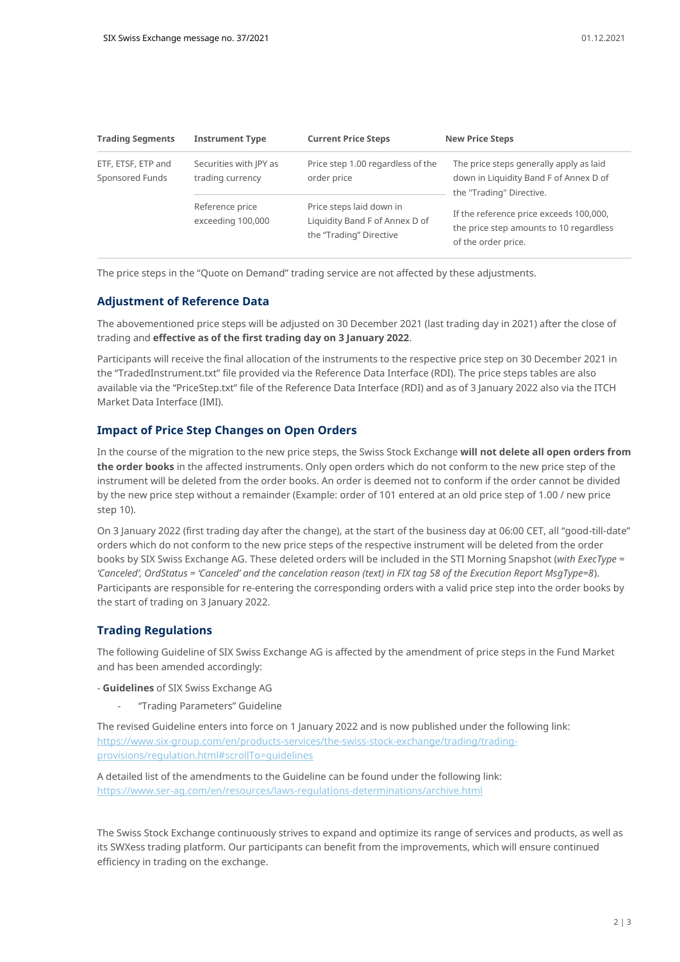| <b>Trading Segments</b>               | <b>Instrument Type</b>                     | <b>Current Price Steps</b>                                                            | <b>New Price Steps</b>                                                                                        |  |
|---------------------------------------|--------------------------------------------|---------------------------------------------------------------------------------------|---------------------------------------------------------------------------------------------------------------|--|
| ETF, ETSF, ETP and<br>Sponsored Funds | Securities with IPY as<br>trading currency | Price step 1.00 regardless of the<br>order price                                      | The price steps generally apply as laid<br>down in Liquidity Band F of Annex D of<br>the "Trading" Directive. |  |
|                                       | Reference price<br>exceeding 100,000       | Price steps laid down in<br>Liquidity Band F of Annex D of<br>the "Trading" Directive | If the reference price exceeds 100,000,<br>the price step amounts to 10 regardless<br>of the order price.     |  |

The price steps in the "Quote on Demand" trading service are not affected by these adjustments.

### **Adjustment of Reference Data**

The abovementioned price steps will be adjusted on 30 December 2021 (last trading day in 2021) after the close of trading and **effective as of the first trading day on 3 January 2022**.

Participants will receive the final allocation of the instruments to the respective price step on 30 December 2021 in the "TradedInstrument.txt" file provided via the Reference Data Interface (RDI). The price steps tables are also available via the "PriceStep.txt" file of the Reference Data Interface (RDI) and as of 3 January 2022 also via the ITCH Market Data Interface (IMI).

## **Impact of Price Step Changes on Open Orders**

In the course of the migration to the new price steps, the Swiss Stock Exchange **will not delete all open orders from the order books** in the affected instruments. Only open orders which do not conform to the new price step of the instrument will be deleted from the order books. An order is deemed not to conform if the order cannot be divided by the new price step without a remainder (Example: order of 101 entered at an old price step of 1.00 / new price step 10).

On 3 January 2022 (first trading day after the change), at the start of the business day at 06:00 CET, all "good-till-date" orders which do not conform to the new price steps of the respective instrument will be deleted from the order books by SIX Swiss Exchange AG. These deleted orders will be included in the STI Morning Snapshot (*with ExecType = 'Canceled', OrdStatus = 'Canceled' and the cancelation reason (text) in FIX tag 58 of the Execution Report MsgType=8*). Participants are responsible for re-entering the corresponding orders with a valid price step into the order books by the start of trading on 3 January 2022.

### **Trading Regulations**

The following Guideline of SIX Swiss Exchange AG is affected by the amendment of price steps in the Fund Market and has been amended accordingly:

- **Guidelines** of SIX Swiss Exchange AG
	- "Trading Parameters" Guideline

The revised Guideline enters into force on 1 January 2022 and is now published under the following link: [https://www.six-group.com/en/products-services/the-swiss-stock-exchange/trading/trading](https://www.six-group.com/en/products-services/the-swiss-stock-exchange/trading/trading-provisions/regulation.html#scrollTo=guidelines)[provisions/regulation.html#scrollTo=guidelines](https://www.six-group.com/en/products-services/the-swiss-stock-exchange/trading/trading-provisions/regulation.html#scrollTo=guidelines)

A detailed list of the amendments to the Guideline can be found under the following link: <https://www.ser-ag.com/en/resources/laws-regulations-determinations/archive.html>

The Swiss Stock Exchange continuously strives to expand and optimize its range of services and products, as well as its SWXess trading platform. Our participants can benefit from the improvements, which will ensure continued efficiency in trading on the exchange.